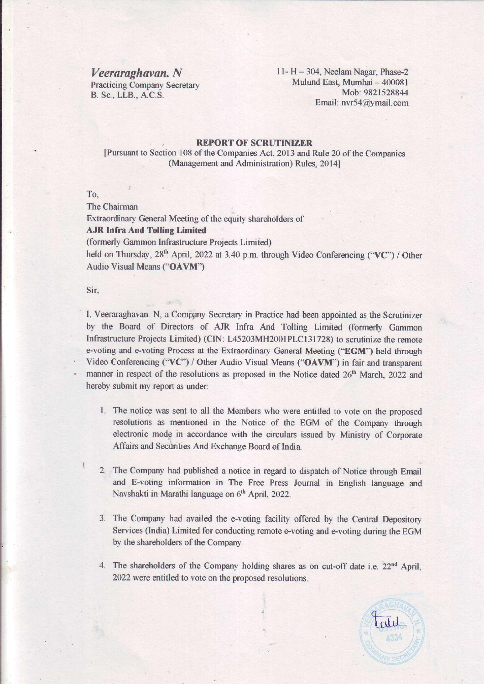$Veeraraghavan. N$  11- H - 304, Neelam Nagar, Phase-2 Practicing Company Secretary Mulund East, Mumbai – 400081 B. Sc., LLB., A.C.S. Mob: 9821528844 Email: nvr54@ymail.com

## : REPORT OF SCRUTINIZER

[Pursuant to Section 108 of the Companies Act, 2013 and Rule 20 of the Companies (Management and Administration) Rules, 2014]

To,

## The Chairman

Extraordinary General Meeting of the equity shareholders of

## AJR Infra And Tolling Limited

(formerly Gammon Infrastructure Projects Limited)

held on Thursday, 28<sup>th</sup> April, 2022 at 3.40 p.m. through Video Conferencing ("VC") / Other Audio Visual Means ("OAVM")

Sir,

[자기] 이 사람들은 아이들은 아이들이 아니라 아이들이 아이들이 아이들이 아이들이 아니라 아이들이 아니라 아이들이 아니라

I, Veeraraghavan. N, a Company Secretary in Practice had been appointed as the Scrutinizer by the Board of Directors of AJR Infra And Tolling Limited (formerly Gammon Infrastructure Projects Limited) (CIN: L45203MH2001PLC131728) to scrutinize the remote e-voting and e-voting Process at the Extraordinary General Meeting ("EGM") held through Video Conferencing ("VC") / Other Audio Visual Means ("OAVM") in fair and transparent manner in respect of the resolutions as proposed in the Notice dated 26<sup>th</sup> March, 2022 and hereby submit my report as under:

- 1. The notice was sent to all the Members who were entitled to vote on the proposed resolutions as mentioned in the Notice of the EGM of the Company through electronic mode in accordance with the circulars issued by Ministry of Corporate Affairs and Securities And Exchange Board of India.
- 2. The Company had published a notice in regard to dispatch of Notice through Email and E-voting information in The Free Press Journal in English language and Navshakti in Marathi language on 6<sup>th</sup> April, 2022.
- 3. The Company had availed the e-voting facility offered by the Central Depository Services (India) Limited for conducting remote e-voting and e-voting during the EGM by the shareholders of the Company.
- 4. The shareholders of the Company holding shares as on cut-off date i.e.  $22<sup>nd</sup>$  April, 2022 were entitled to vote on the proposed resolutions.